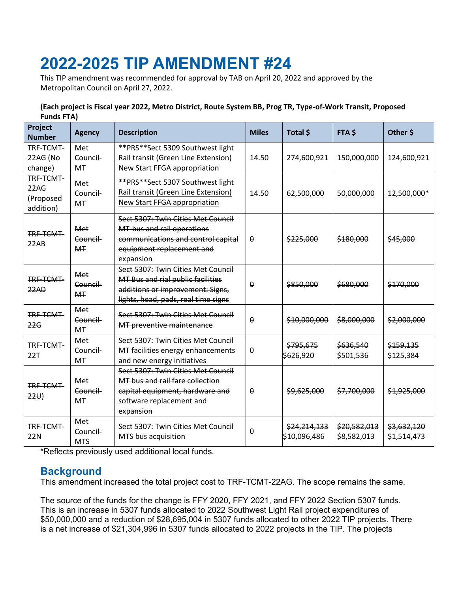# **2022-2025 TIP AMENDMENT #24**

This TIP amendment was recommended for approval by TAB on April 20, 2022 and approved by the Metropolitan Council on April 27, 2022.

#### **(Each project is Fiscal year 2022, Metro District, Route System BB, Prog TR, Type-of-Work Transit, Proposed Funds FTA)**

| Project<br><b>Number</b>                    | <b>Agency</b>                     | <b>Description</b>                                                                                                                                 | <b>Miles</b>     | Total \$                     | FTA \$                      | Other \$                   |
|---------------------------------------------|-----------------------------------|----------------------------------------------------------------------------------------------------------------------------------------------------|------------------|------------------------------|-----------------------------|----------------------------|
| TRF-TCMT-<br>22AG (No<br>change)            | Met<br>Council-<br>MT             | ** PRS** Sect 5309 Southwest light<br>Rail transit (Green Line Extension)<br>New Start FFGA appropriation                                          | 14.50            | 274,600,921                  | 150,000,000                 | 124,600,921                |
| TRF-TCMT-<br>22AG<br>(Proposed<br>addition) | Met<br>Council-<br><b>MT</b>      | **PRS**Sect 5307 Southwest light<br>Rail transit (Green Line Extension)<br>New Start FFGA appropriation                                            | 14.50            | 62,500,000                   | 50,000,000                  | 12,500,000*                |
| TRF-TCMT-<br>22AB                           | Met<br>Council<br><b>MT</b>       | Sect 5307: Twin Cities Met Council<br>MT-bus and rail operations<br>communications and control capital<br>equipment replacement and<br>expansion   | $\theta$         | \$225,000                    | \$180,000                   | \$45,000                   |
| TRE-TCMT-<br>22AD                           | Met<br>Council-<br><b>MT</b>      | Sect 5307: Twin Cities Met Council<br>MT Bus and rial public facilities<br>additions or improvement: Signs,<br>lights, head, pads, real time signs | $\theta$         | \$850,000                    | \$680,000                   | \$170,000                  |
| TRF-TCMT-<br>22G                            | Met<br>Council-<br><b>MT</b>      | Sect 5307: Twin Cities Met Council<br>MT preventive maintenance                                                                                    | $\theta$         | \$10,000,000                 | \$8,000,000                 | \$2,000,000                |
| TRF-TCMT-<br>22T                            | Met<br>Council-<br>MT             | Sect 5307: Twin Cities Met Council<br>MT facilities energy enhancements<br>and new energy initiatives                                              | 0                | \$795,675<br>\$626,920       | \$636,540<br>\$501,536      | \$159,135<br>\$125,384     |
| <b>TRE-TCMT-</b><br>22U                     | Met<br>Council-<br>M <sub>T</sub> | Sect 5307: Twin Cities Met Council<br>MT bus and rail fare collection<br>capital equipment, hardware and<br>software replacement and<br>expansion  | $\boldsymbol{0}$ | \$9,625,000                  | \$7,700,000                 | \$1,925,000                |
| TRF-TCMT-<br>22N                            | Met<br>Council-<br><b>MTS</b>     | Sect 5307: Twin Cities Met Council<br>MTS bus acquisition                                                                                          | $\mathbf{0}$     | \$24,214,133<br>\$10,096,486 | \$20,582,013<br>\$8,582,013 | \$3,632,120<br>\$1,514,473 |

\*Reflects previously used additional local funds.

## **Background**

This amendment increased the total project cost to TRF-TCMT-22AG. The scope remains the same.

The source of the funds for the change is FFY 2020, FFY 2021, and FFY 2022 Section 5307 funds. This is an increase in 5307 funds allocated to 2022 Southwest Light Rail project expenditures of \$50,000,000 and a reduction of \$28,695,004 in 5307 funds allocated to other 2022 TIP projects. There is a net increase of \$21,304,996 in 5307 funds allocated to 2022 projects in the TIP. The projects